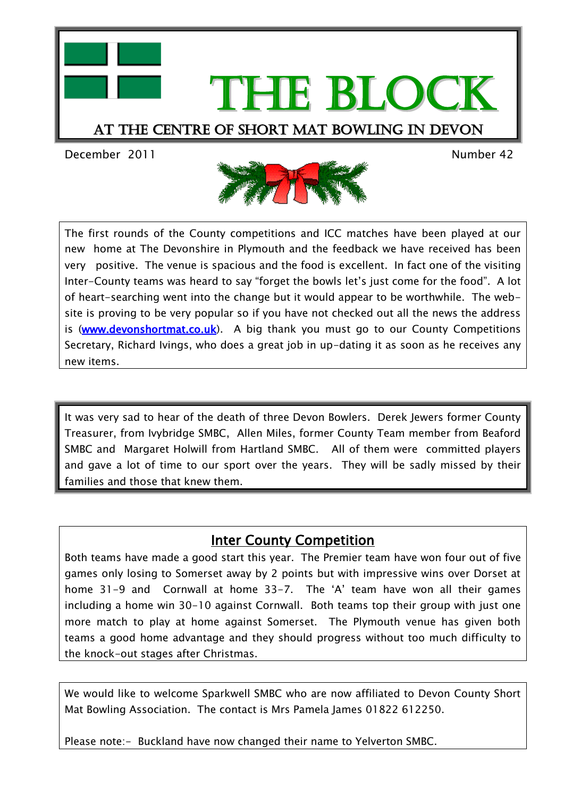



The first rounds of the County competitions and ICC matches have been played at our new home at The Devonshire in Plymouth and the feedback we have received has been very positive. The venue is spacious and the food is excellent. In fact one of the visiting Inter-County teams was heard to say "forget the bowls let"s just come for the food". A lot of heart-searching went into the change but it would appear to be worthwhile. The website is proving to be very popular so if you have not checked out all the news the address is (www.devonshortmat.co.uk). A big thank you must go to our County Competitions Secretary, Richard Ivings, who does a great job in up-dating it as soon as he receives any new items.

It was very sad to hear of the death of three Devon Bowlers. Derek Jewers former County Treasurer, from Ivybridge SMBC, Allen Miles, former County Team member from Beaford SMBC and Margaret Holwill from Hartland SMBC. All of them were committed players and gave a lot of time to our sport over the years. They will be sadly missed by their families and those that knew them.

## Inter County Competition

Both teams have made a good start this year. The Premier team have won four out of five games only losing to Somerset away by 2 points but with impressive wins over Dorset at home 31-9 and Cornwall at home 33-7. The 'A' team have won all their games including a home win 30-10 against Cornwall. Both teams top their group with just one more match to play at home against Somerset. The Plymouth venue has given both teams a good home advantage and they should progress without too much difficulty to the knock-out stages after Christmas.

We would like to welcome Sparkwell SMBC who are now affiliated to Devon County Short Mat Bowling Association. The contact is Mrs Pamela James 01822 612250.

Please note:- Buckland have now changed their name to Yelverton SMBC.